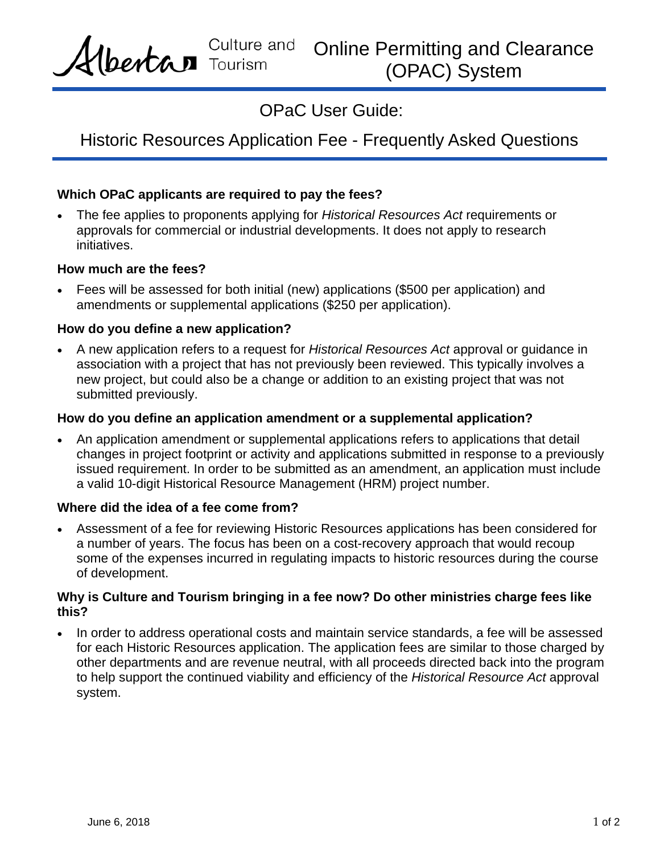Culture and Online Permitting and Clearance bertan Tourism (OPAC) System

OPaC User Guide:

# Historic Resources Application Fee - Frequently Asked Questions

## **Which OPaC applicants are required to pay the fees?**

 The fee applies to proponents applying for *Historical Resources Act* requirements or approvals for commercial or industrial developments. It does not apply to research initiatives.

#### **How much are the fees?**

 Fees will be assessed for both initial (new) applications (\$500 per application) and amendments or supplemental applications (\$250 per application).

## **How do you define a new application?**

 A new application refers to a request for *Historical Resources Act* approval or guidance in association with a project that has not previously been reviewed. This typically involves a new project, but could also be a change or addition to an existing project that was not submitted previously.

#### **How do you define an application amendment or a supplemental application?**

 An application amendment or supplemental applications refers to applications that detail changes in project footprint or activity and applications submitted in response to a previously issued requirement. In order to be submitted as an amendment, an application must include a valid 10-digit Historical Resource Management (HRM) project number.

## **Where did the idea of a fee come from?**

 Assessment of a fee for reviewing Historic Resources applications has been considered for a number of years. The focus has been on a cost-recovery approach that would recoup some of the expenses incurred in regulating impacts to historic resources during the course of development.

## **Why is Culture and Tourism bringing in a fee now? Do other ministries charge fees like this?**

• In order to address operational costs and maintain service standards, a fee will be assessed for each Historic Resources application. The application fees are similar to those charged by other departments and are revenue neutral, with all proceeds directed back into the program to help support the continued viability and efficiency of the *Historical Resource Act* approval system.